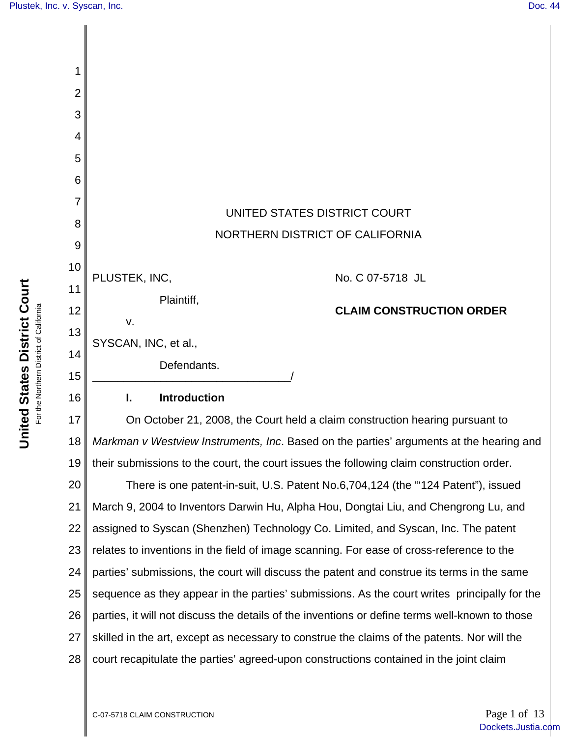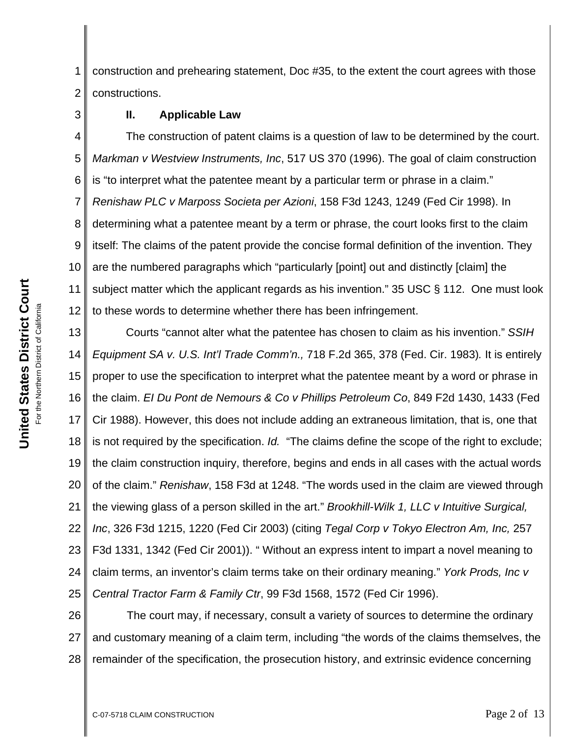United States District Court **United States District Court** For the Northern District of California For the Northern District of California 3

1 2 construction and prehearing statement, Doc #35, to the extent the court agrees with those constructions.

### **II. Applicable Law**

4 5 6 7 8 9 10 11 12 The construction of patent claims is a question of law to be determined by the court. *Markman v Westview Instruments, Inc*, 517 US 370 (1996). The goal of claim construction is "to interpret what the patentee meant by a particular term or phrase in a claim." *Renishaw PLC v Marposs Societa per Azioni*, 158 F3d 1243, 1249 (Fed Cir 1998). In determining what a patentee meant by a term or phrase, the court looks first to the claim itself: The claims of the patent provide the concise formal definition of the invention. They are the numbered paragraphs which "particularly [point] out and distinctly [claim] the subject matter which the applicant regards as his invention." 35 USC § 112. One must look to these words to determine whether there has been infringement.

13 14 15 16 17 18 19 20 21 22 23 24 25 Courts "cannot alter what the patentee has chosen to claim as his invention." *SSIH Equipment SA v. U.S. Int'l Trade Comm'n.,* 718 F.2d 365, 378 (Fed. Cir. 1983)*.* It is entirely proper to use the specification to interpret what the patentee meant by a word or phrase in the claim. *EI Du Pont de Nemours & Co v Phillips Petroleum Co*, 849 F2d 1430, 1433 (Fed Cir 1988). However, this does not include adding an extraneous limitation, that is, one that is not required by the specification. *Id.* "The claims define the scope of the right to exclude; the claim construction inquiry, therefore, begins and ends in all cases with the actual words of the claim." *Renishaw*, 158 F3d at 1248. "The words used in the claim are viewed through the viewing glass of a person skilled in the art." *Brookhill-Wilk 1, LLC v Intuitive Surgical, Inc*, 326 F3d 1215, 1220 (Fed Cir 2003) (citing *Tegal Corp v Tokyo Electron Am, Inc,* 257 F3d 1331, 1342 (Fed Cir 2001)). " Without an express intent to impart a novel meaning to claim terms, an inventor's claim terms take on their ordinary meaning." *York Prods, Inc v Central Tractor Farm & Family Ctr*, 99 F3d 1568, 1572 (Fed Cir 1996).

26 27 28 The court may, if necessary, consult a variety of sources to determine the ordinary and customary meaning of a claim term, including "the words of the claims themselves, the remainder of the specification, the prosecution history, and extrinsic evidence concerning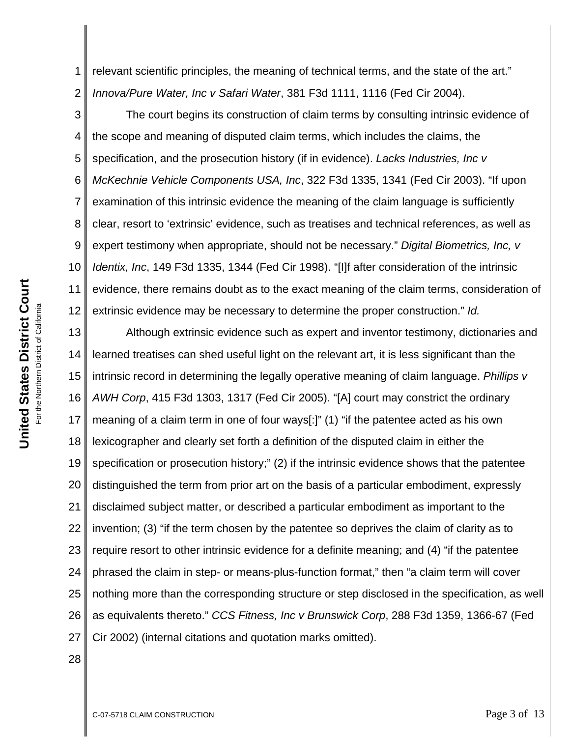1 2 relevant scientific principles, the meaning of technical terms, and the state of the art." *Innova/Pure Water, Inc v Safari Water*, 381 F3d 1111, 1116 (Fed Cir 2004).

3 4 5 6 7 8 9 10 11 12 The court begins its construction of claim terms by consulting intrinsic evidence of the scope and meaning of disputed claim terms, which includes the claims, the specification, and the prosecution history (if in evidence). *Lacks Industries, Inc v McKechnie Vehicle Components USA, Inc*, 322 F3d 1335, 1341 (Fed Cir 2003). "If upon examination of this intrinsic evidence the meaning of the claim language is sufficiently clear, resort to 'extrinsic' evidence, such as treatises and technical references, as well as expert testimony when appropriate, should not be necessary." *Digital Biometrics, Inc, v Identix, Inc*, 149 F3d 1335, 1344 (Fed Cir 1998). "[I]f after consideration of the intrinsic evidence, there remains doubt as to the exact meaning of the claim terms, consideration of extrinsic evidence may be necessary to determine the proper construction." *Id.* 

13 14 15 16 17 18 19 20 21 22 23 24 25 26 27 Although extrinsic evidence such as expert and inventor testimony, dictionaries and learned treatises can shed useful light on the relevant art, it is less significant than the intrinsic record in determining the legally operative meaning of claim language. *Phillips v AWH Corp*, 415 F3d 1303, 1317 (Fed Cir 2005). "[A] court may constrict the ordinary meaning of a claim term in one of four ways[:]" (1) "if the patentee acted as his own lexicographer and clearly set forth a definition of the disputed claim in either the specification or prosecution history;" (2) if the intrinsic evidence shows that the patentee distinguished the term from prior art on the basis of a particular embodiment, expressly disclaimed subject matter, or described a particular embodiment as important to the invention; (3) "if the term chosen by the patentee so deprives the claim of clarity as to require resort to other intrinsic evidence for a definite meaning; and (4) "if the patentee phrased the claim in step- or means-plus-function format," then "a claim term will cover nothing more than the corresponding structure or step disclosed in the specification, as well as equivalents thereto." *CCS Fitness, Inc v Brunswick Corp*, 288 F3d 1359, 1366-67 (Fed Cir 2002) (internal citations and quotation marks omitted).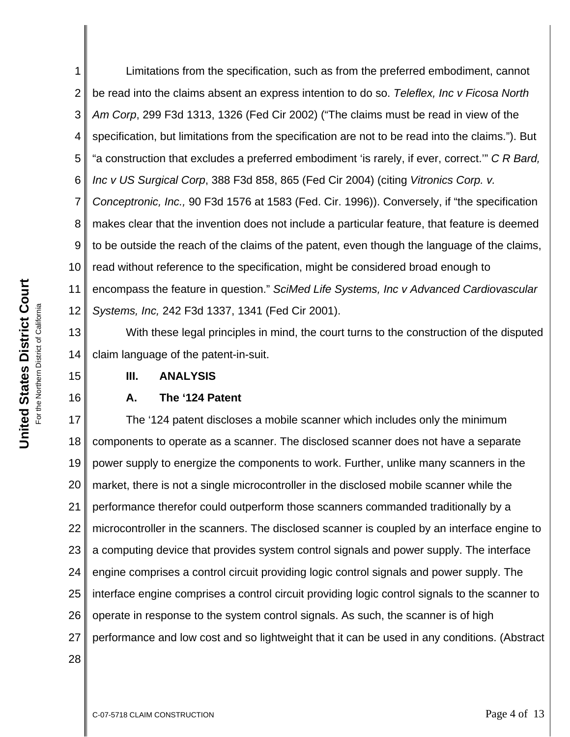1 2 3 4 5 6 7 8 9 10 11 12 Limitations from the specification, such as from the preferred embodiment, cannot be read into the claims absent an express intention to do so. *Teleflex, Inc v Ficosa North Am Corp*, 299 F3d 1313, 1326 (Fed Cir 2002) ("The claims must be read in view of the specification, but limitations from the specification are not to be read into the claims."). But "a construction that excludes a preferred embodiment 'is rarely, if ever, correct.'" *C R Bard, Inc v US Surgical Corp*, 388 F3d 858, 865 (Fed Cir 2004) (citing *Vitronics Corp. v. Conceptronic, Inc.,* 90 F3d 1576 at 1583 (Fed. Cir. 1996)). Conversely, if "the specification makes clear that the invention does not include a particular feature, that feature is deemed to be outside the reach of the claims of the patent, even though the language of the claims, read without reference to the specification, might be considered broad enough to encompass the feature in question." *SciMed Life Systems, Inc v Advanced Cardiovascular Systems, Inc,* 242 F3d 1337, 1341 (Fed Cir 2001).

13 14 With these legal principles in mind, the court turns to the construction of the disputed claim language of the patent-in-suit.

### **III. ANALYSIS**

### **A. The '124 Patent**

17 18 19 20 21 22 23 24 25 26 27 28 The '124 patent discloses a mobile scanner which includes only the minimum components to operate as a scanner. The disclosed scanner does not have a separate power supply to energize the components to work. Further, unlike many scanners in the market, there is not a single microcontroller in the disclosed mobile scanner while the performance therefor could outperform those scanners commanded traditionally by a microcontroller in the scanners. The disclosed scanner is coupled by an interface engine to a computing device that provides system control signals and power supply. The interface engine comprises a control circuit providing logic control signals and power supply. The interface engine comprises a control circuit providing logic control signals to the scanner to operate in response to the system control signals. As such, the scanner is of high performance and low cost and so lightweight that it can be used in any conditions. (Abstract

15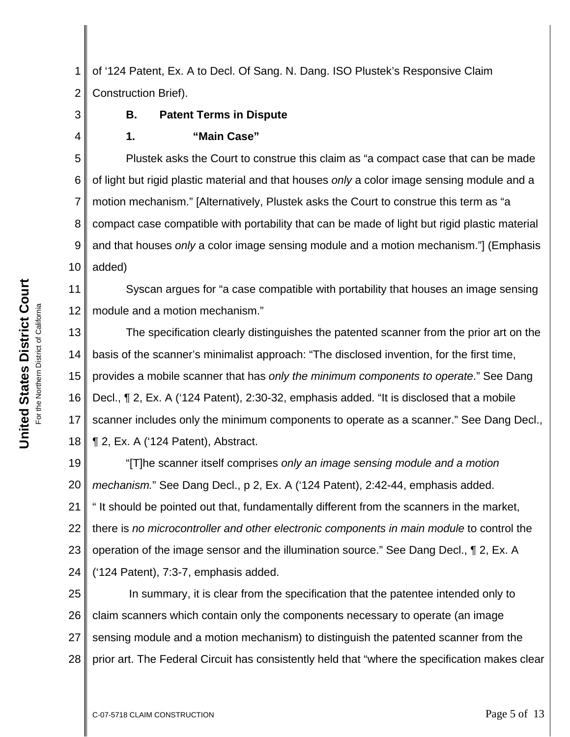United States District Court **United States District Court** For the Northern District of California For the Northern District of California 3

4

1 2 of '124 Patent, Ex. A to Decl. Of Sang. N. Dang. ISO Plustek's Responsive Claim Construction Brief).

## **B. Patent Terms in Dispute**

#### **1. "Main Case"**

5 6 7 8 9 10 Plustek asks the Court to construe this claim as "a compact case that can be made of light but rigid plastic material and that houses *only* a color image sensing module and a motion mechanism." [Alternatively, Plustek asks the Court to construe this term as "a compact case compatible with portability that can be made of light but rigid plastic material and that houses *only* a color image sensing module and a motion mechanism."] (Emphasis added)

11 12 Syscan argues for "a case compatible with portability that houses an image sensing module and a motion mechanism."

13 14 15 16 17 18 The specification clearly distinguishes the patented scanner from the prior art on the basis of the scanner's minimalist approach: "The disclosed invention, for the first time, provides a mobile scanner that has *only the minimum components to operate*." See Dang Decl., ¶ 2, Ex. A ('124 Patent), 2:30-32, emphasis added. "It is disclosed that a mobile scanner includes only the minimum components to operate as a scanner." See Dang Decl., ¶ 2, Ex. A ('124 Patent), Abstract.

19 20 21 22 23 24 "[T]he scanner itself comprises *only an image sensing module and a motion mechanism.*" See Dang Decl., p 2, Ex. A ('124 Patent), 2:42-44, emphasis added. " It should be pointed out that, fundamentally different from the scanners in the market, there is *no microcontroller and other electronic components in main module* to control the operation of the image sensor and the illumination source." See Dang Decl., ¶ 2, Ex. A ('124 Patent), 7:3-7, emphasis added.

25 26 27 28 In summary, it is clear from the specification that the patentee intended only to claim scanners which contain only the components necessary to operate (an image sensing module and a motion mechanism) to distinguish the patented scanner from the prior art. The Federal Circuit has consistently held that "where the specification makes clear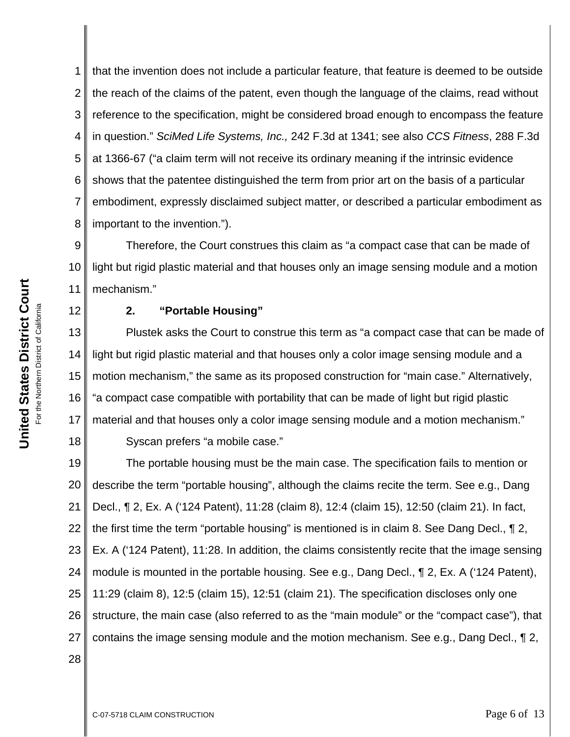1 2 3 4 5 6 7 8 that the invention does not include a particular feature, that feature is deemed to be outside the reach of the claims of the patent, even though the language of the claims, read without reference to the specification, might be considered broad enough to encompass the feature in question." *SciMed Life Systems, Inc.,* 242 F.3d at 1341; see also *CCS Fitness*, 288 F.3d at 1366-67 ("a claim term will not receive its ordinary meaning if the intrinsic evidence shows that the patentee distinguished the term from prior art on the basis of a particular embodiment, expressly disclaimed subject matter, or described a particular embodiment as important to the invention.").

9 10 11 Therefore, the Court construes this claim as "a compact case that can be made of light but rigid plastic material and that houses only an image sensing module and a motion mechanism."

## **2. "Portable Housing"**

13 14 15 16 17 18 Plustek asks the Court to construe this term as "a compact case that can be made of light but rigid plastic material and that houses only a color image sensing module and a motion mechanism," the same as its proposed construction for "main case." Alternatively, "a compact case compatible with portability that can be made of light but rigid plastic material and that houses only a color image sensing module and a motion mechanism." Syscan prefers "a mobile case."

19 20 21 22 23 24 25 26 27 The portable housing must be the main case. The specification fails to mention or describe the term "portable housing", although the claims recite the term. See e.g., Dang Decl., ¶ 2, Ex. A ('124 Patent), 11:28 (claim 8), 12:4 (claim 15), 12:50 (claim 21). In fact, the first time the term "portable housing" is mentioned is in claim 8. See Dang Decl., ¶ 2, Ex. A ('124 Patent), 11:28. In addition, the claims consistently recite that the image sensing module is mounted in the portable housing. See e.g., Dang Decl., ¶ 2, Ex. A ('124 Patent), 11:29 (claim 8), 12:5 (claim 15), 12:51 (claim 21). The specification discloses only one structure, the main case (also referred to as the "main module" or the "compact case"), that contains the image sensing module and the motion mechanism. See e.g., Dang Decl., ¶ 2,

12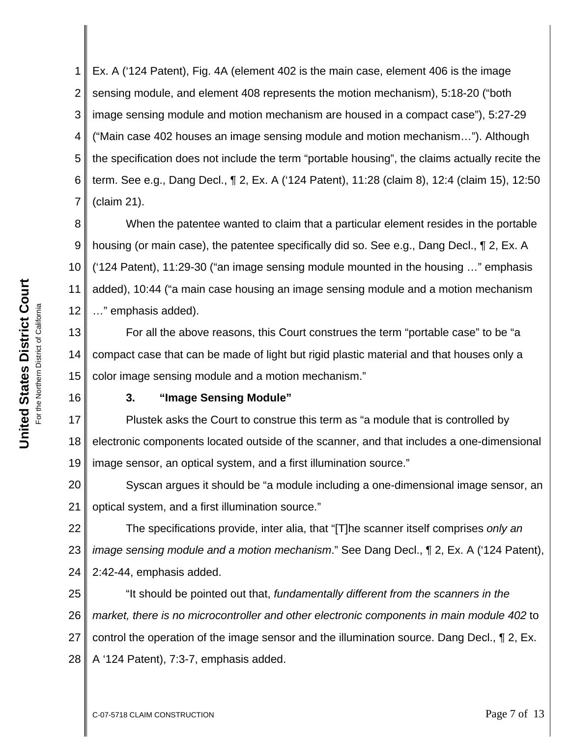3 4 5 6 7 8 9 10 11 12 image sensing module and motion mechanism are housed in a compact case"), 5:27-29 ("Main case 402 houses an image sensing module and motion mechanism…"). Although (claim 21). …" emphasis added).

1

2

the specification does not include the term "portable housing", the claims actually recite the term. See e.g., Dang Decl., ¶ 2, Ex. A ('124 Patent), 11:28 (claim 8), 12:4 (claim 15), 12:50 When the patentee wanted to claim that a particular element resides in the portable housing (or main case), the patentee specifically did so. See e.g., Dang Decl., ¶ 2, Ex. A ('124 Patent), 11:29-30 ("an image sensing module mounted in the housing …" emphasis

Ex. A ('124 Patent), Fig. 4A (element 402 is the main case, element 406 is the image

sensing module, and element 408 represents the motion mechanism), 5:18-20 ("both

added), 10:44 ("a main case housing an image sensing module and a motion mechanism

13 14 15 For all the above reasons, this Court construes the term "portable case" to be "a compact case that can be made of light but rigid plastic material and that houses only a color image sensing module and a motion mechanism."

16

# **3. "Image Sensing Module"**

17 18 19 Plustek asks the Court to construe this term as "a module that is controlled by electronic components located outside of the scanner, and that includes a one-dimensional image sensor, an optical system, and a first illumination source."

20 21 Syscan argues it should be "a module including a one-dimensional image sensor, an optical system, and a first illumination source."

22 23 24 The specifications provide, inter alia, that "[T]he scanner itself comprises *only an image sensing module and a motion mechanism*." See Dang Decl., ¶ 2, Ex. A ('124 Patent), 2:42-44, emphasis added.

25 26 27 28 "It should be pointed out that, *fundamentally different from the scanners in the market, there is no microcontroller and other electronic components in main module 402* to control the operation of the image sensor and the illumination source. Dang Decl., ¶ 2, Ex. A '124 Patent), 7:3-7, emphasis added.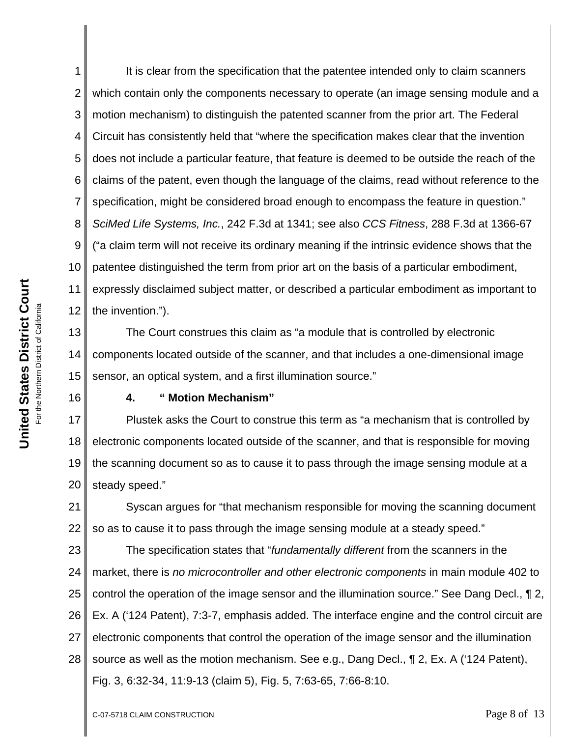1 2 3 4 5 6 7 8 9 10 11 12 It is clear from the specification that the patentee intended only to claim scanners which contain only the components necessary to operate (an image sensing module and a motion mechanism) to distinguish the patented scanner from the prior art. The Federal Circuit has consistently held that "where the specification makes clear that the invention does not include a particular feature, that feature is deemed to be outside the reach of the claims of the patent, even though the language of the claims, read without reference to the specification, might be considered broad enough to encompass the feature in question." *SciMed Life Systems, Inc.*, 242 F.3d at 1341; see also *CCS Fitness*, 288 F.3d at 1366-67 ("a claim term will not receive its ordinary meaning if the intrinsic evidence shows that the patentee distinguished the term from prior art on the basis of a particular embodiment, expressly disclaimed subject matter, or described a particular embodiment as important to the invention.").

13 14 15 The Court construes this claim as "a module that is controlled by electronic components located outside of the scanner, and that includes a one-dimensional image sensor, an optical system, and a first illumination source."

16

### **4. " Motion Mechanism"**

17 18 19 20 Plustek asks the Court to construe this term as "a mechanism that is controlled by electronic components located outside of the scanner, and that is responsible for moving the scanning document so as to cause it to pass through the image sensing module at a steady speed."

21 22 Syscan argues for "that mechanism responsible for moving the scanning document so as to cause it to pass through the image sensing module at a steady speed."

23 24 25 26 27 28 The specification states that "*fundamentally different* from the scanners in the market, there is *no microcontroller and other electronic components* in main module 402 to control the operation of the image sensor and the illumination source." See Dang Decl., ¶ 2, Ex. A ('124 Patent), 7:3-7, emphasis added. The interface engine and the control circuit are electronic components that control the operation of the image sensor and the illumination source as well as the motion mechanism. See e.g., Dang Decl., ¶ 2, Ex. A ('124 Patent), Fig. 3, 6:32-34, 11:9-13 (claim 5), Fig. 5, 7:63-65, 7:66-8:10.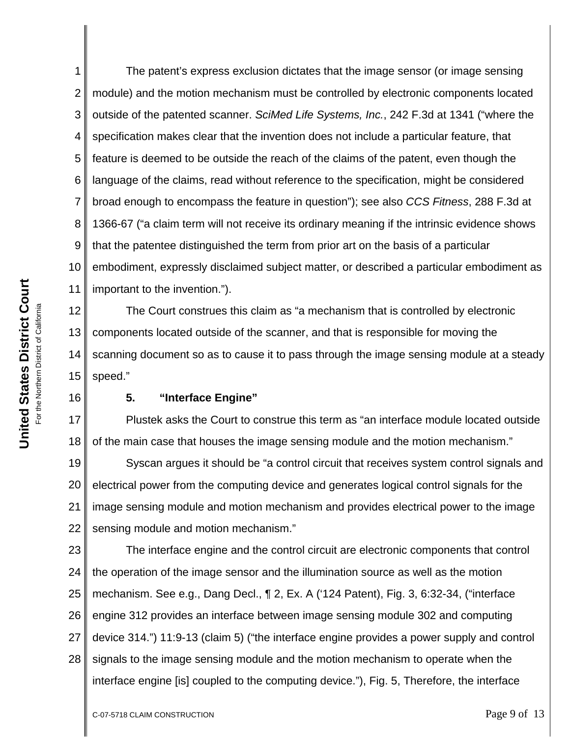1 2 3 4 5 6 7 8 9 10 11 The patent's express exclusion dictates that the image sensor (or image sensing module) and the motion mechanism must be controlled by electronic components located outside of the patented scanner. *SciMed Life Systems, Inc.*, 242 F.3d at 1341 ("where the specification makes clear that the invention does not include a particular feature, that feature is deemed to be outside the reach of the claims of the patent, even though the language of the claims, read without reference to the specification, might be considered broad enough to encompass the feature in question"); see also *CCS Fitness*, 288 F.3d at 1366-67 ("a claim term will not receive its ordinary meaning if the intrinsic evidence shows that the patentee distinguished the term from prior art on the basis of a particular embodiment, expressly disclaimed subject matter, or described a particular embodiment as important to the invention.").

12 13 14 15 The Court construes this claim as "a mechanism that is controlled by electronic components located outside of the scanner, and that is responsible for moving the scanning document so as to cause it to pass through the image sensing module at a steady speed."

16

### **5. "Interface Engine"**

17 18 Plustek asks the Court to construe this term as "an interface module located outside of the main case that houses the image sensing module and the motion mechanism."

19 20 21 22 Syscan argues it should be "a control circuit that receives system control signals and electrical power from the computing device and generates logical control signals for the image sensing module and motion mechanism and provides electrical power to the image sensing module and motion mechanism."

23 24 25 26 27 28 The interface engine and the control circuit are electronic components that control the operation of the image sensor and the illumination source as well as the motion mechanism. See e.g., Dang Decl., ¶ 2, Ex. A ('124 Patent), Fig. 3, 6:32-34, ("interface engine 312 provides an interface between image sensing module 302 and computing device 314.") 11:9-13 (claim 5) ("the interface engine provides a power supply and control signals to the image sensing module and the motion mechanism to operate when the interface engine [is] coupled to the computing device."), Fig. 5, Therefore, the interface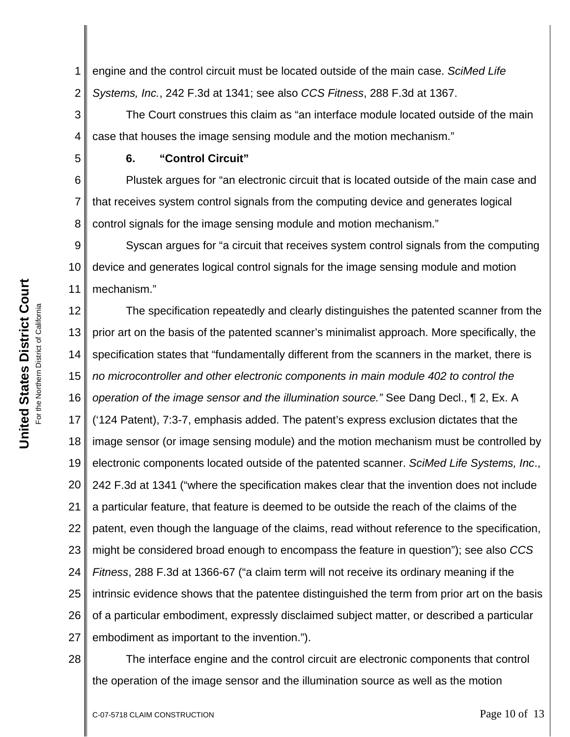1 2 engine and the control circuit must be located outside of the main case. *SciMed Life Systems, Inc.*, 242 F.3d at 1341; see also *CCS Fitness*, 288 F.3d at 1367.

3 4 The Court construes this claim as "an interface module located outside of the main case that houses the image sensing module and the motion mechanism."

### **6. "Control Circuit"**

6 8 Plustek argues for "an electronic circuit that is located outside of the main case and that receives system control signals from the computing device and generates logical control signals for the image sensing module and motion mechanism."

9 10 11 Syscan argues for "a circuit that receives system control signals from the computing device and generates logical control signals for the image sensing module and motion mechanism."

12 13 14 15 16 17 18 19 20 21 22 23 24 25 26 27 The specification repeatedly and clearly distinguishes the patented scanner from the prior art on the basis of the patented scanner's minimalist approach. More specifically, the specification states that "fundamentally different from the scanners in the market, there is *no microcontroller and other electronic components in main module 402 to control the operation of the image sensor and the illumination source."* See Dang Decl., ¶ 2, Ex. A ('124 Patent), 7:3-7, emphasis added. The patent's express exclusion dictates that the image sensor (or image sensing module) and the motion mechanism must be controlled by electronic components located outside of the patented scanner. *SciMed Life Systems, Inc*., 242 F.3d at 1341 ("where the specification makes clear that the invention does not include a particular feature, that feature is deemed to be outside the reach of the claims of the patent, even though the language of the claims, read without reference to the specification, might be considered broad enough to encompass the feature in question"); see also *CCS Fitness*, 288 F.3d at 1366-67 ("a claim term will not receive its ordinary meaning if the intrinsic evidence shows that the patentee distinguished the term from prior art on the basis of a particular embodiment, expressly disclaimed subject matter, or described a particular embodiment as important to the invention.").

The interface engine and the control circuit are electronic components that control the operation of the image sensor and the illumination source as well as the motion

5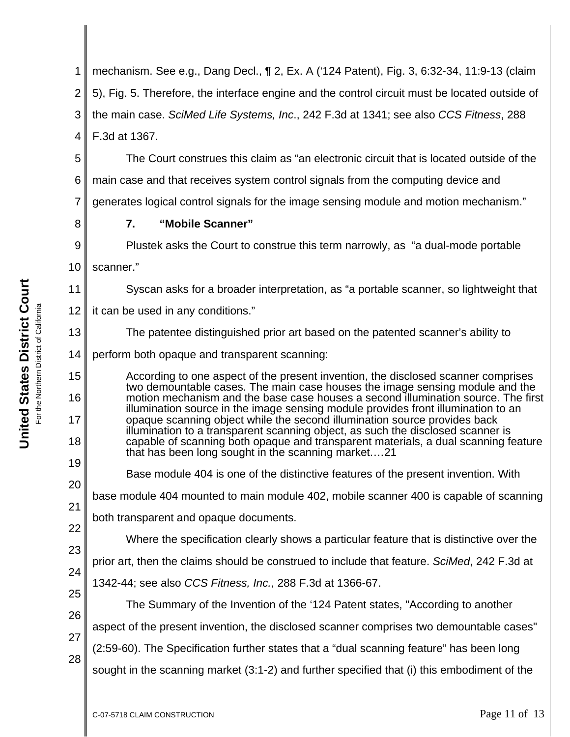1 2 3 4 mechanism. See e.g., Dang Decl., ¶ 2, Ex. A ('124 Patent), Fig. 3, 6:32-34, 11:9-13 (claim 5), Fig. 5. Therefore, the interface engine and the control circuit must be located outside of the main case. *SciMed Life Systems, Inc*., 242 F.3d at 1341; see also *CCS Fitness*, 288 F.3d at 1367.

The Court construes this claim as "an electronic circuit that is located outside of the main case and that receives system control signals from the computing device and

6 7

generates logical control signals for the image sensing module and motion mechanism."

**7. "Mobile Scanner"**

9 10 Plustek asks the Court to construe this term narrowly, as "a dual-mode portable scanner."

Syscan asks for a broader interpretation, as "a portable scanner, so lightweight that

12 it can be used in any conditions."

The patentee distinguished prior art based on the patented scanner's ability to

14 perform both opaque and transparent scanning:

According to one aspect of the present invention, the disclosed scanner comprises two demountable cases. The main case houses the image sensing module and the motion mechanism and the base case houses a second illumination source. The first illumination source in the image sensing module provides front illumination to an opaque scanning object while the second illumination source provides back illumination to a transparent scanning object, as such the disclosed scanner is capable of scanning both opaque and transparent materials, a dual scanning feature that has been long sought in the scanning market.…21

19

5

8

11

13

15

16

17

18

20

25

28

base module 404 mounted to main module 402, mobile scanner 400 is capable of scanning

Base module 404 is one of the distinctive features of the present invention. With

21 22 both transparent and opaque documents.

Where the specification clearly shows a particular feature that is distinctive over the

23 24 prior art, then the claims should be construed to include that feature. *SciMed*, 242 F.3d at

1342-44; see also *CCS Fitness, Inc.*, 288 F.3d at 1366-67.

26 27 The Summary of the Invention of the '124 Patent states, "According to another aspect of the present invention, the disclosed scanner comprises two demountable cases"

(2:59-60). The Specification further states that a "dual scanning feature" has been long

sought in the scanning market (3:1-2) and further specified that (i) this embodiment of the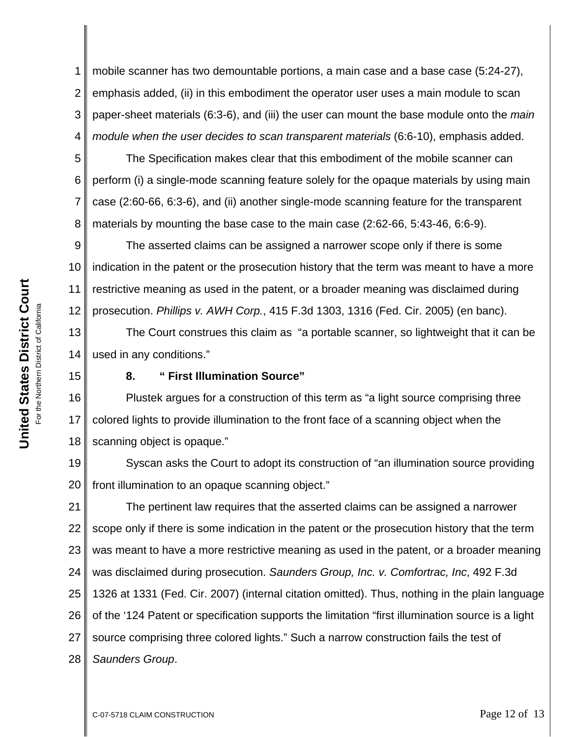1 2 3 4 mobile scanner has two demountable portions, a main case and a base case (5:24-27), emphasis added, (ii) in this embodiment the operator user uses a main module to scan paper-sheet materials (6:3-6), and (iii) the user can mount the base module onto the *main module when the user decides to scan transparent materials* (6:6-10), emphasis added.

5 6 7 8 The Specification makes clear that this embodiment of the mobile scanner can perform (i) a single-mode scanning feature solely for the opaque materials by using main case (2:60-66, 6:3-6), and (ii) another single-mode scanning feature for the transparent materials by mounting the base case to the main case (2:62-66, 5:43-46, 6:6-9).

9 10 11 12 The asserted claims can be assigned a narrower scope only if there is some indication in the patent or the prosecution history that the term was meant to have a more restrictive meaning as used in the patent, or a broader meaning was disclaimed during prosecution. *Phillips v. AWH Corp.*, 415 F.3d 1303, 1316 (Fed. Cir. 2005) (en banc).

13 14 The Court construes this claim as "a portable scanner, so lightweight that it can be used in any conditions."

15

## **8. " First Illumination Source"**

16 17 18 Plustek argues for a construction of this term as "a light source comprising three colored lights to provide illumination to the front face of a scanning object when the scanning object is opaque."

19 20 Syscan asks the Court to adopt its construction of "an illumination source providing front illumination to an opaque scanning object."

21 22 23 24 25 26 27 28 The pertinent law requires that the asserted claims can be assigned a narrower scope only if there is some indication in the patent or the prosecution history that the term was meant to have a more restrictive meaning as used in the patent, or a broader meaning was disclaimed during prosecution. *Saunders Group, Inc. v. Comfortrac, Inc*, 492 F.3d 1326 at 1331 (Fed. Cir. 2007) (internal citation omitted). Thus, nothing in the plain language of the '124 Patent or specification supports the limitation "first illumination source is a light source comprising three colored lights." Such a narrow construction fails the test of *Saunders Group*.